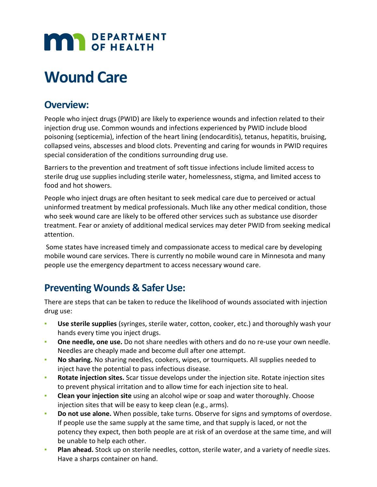# **MAR** DEPARTMENT

## **Wound Care**

#### **Overview:**

People who inject drugs (PWID) are likely to experience wounds and infection related to their injection drug use. Common wounds and infections experienced by PWID include blood poisoning (septicemia), infection of the heart lining (endocarditis), tetanus, hepatitis, bruising, collapsed veins, abscesses and blood clots. Preventing and caring for wounds in PWID requires special consideration of the conditions surrounding drug use.

Barriers to the prevention and treatment of soft tissue infections include limited access to sterile drug use supplies including sterile water, homelessness, stigma, and limited access to food and hot showers.

People who inject drugs are often hesitant to seek medical care due to perceived or actual uninformed treatment by medical professionals. Much like any other medical condition, those who seek wound care are likely to be offered other services such as substance use disorder treatment. Fear or anxiety of additional medical services may deter PWID from seeking medical attention.

Some states have increased timely and compassionate access to medical care by developing mobile wound care services. There is currently no mobile wound care in Minnesota and many people use the emergency department to access necessary wound care.

#### **Preventing Wounds & Safer Use:**

There are steps that can be taken to reduce the likelihood of wounds associated with injection drug use:

- Use sterile supplies (syringes, sterile water, cotton, cooker, etc.) and thoroughly wash your hands every time you inject drugs.
- **One needle, one use.** Do not share needles with others and do no re-use your own needle. Needles are cheaply made and become dull after one attempt.
- No sharing. No sharing needles, cookers, wipes, or tourniquets. All supplies needed to inject have the potential to pass infectious disease.
- **Rotate injection sites.** Scar tissue develops under the injection site. Rotate injection sites to prevent physical irritation and to allow time for each injection site to heal.
- **Clean your injection site** using an alcohol wipe or soap and water thoroughly. Choose injection sites that will be easy to keep clean (e.g., arms).
- **Do not use alone.** When possible, take turns. Observe for signs and symptoms of overdose. If people use the same supply at the same time, and that supply is laced, or not the potency they expect, then both people are at risk of an overdose at the same time, and will be unable to help each other.
- Plan ahead. Stock up on sterile needles, cotton, sterile water, and a variety of needle sizes. Have a sharps container on hand.